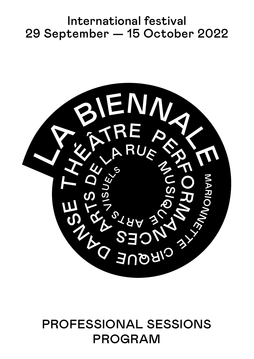# International festival 29 September — 15 October 2022



# PROFESSIONAL SESSIONS PROGRAM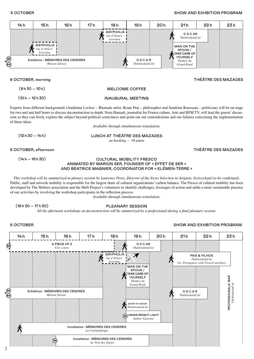# 5 OCTOBER SHOW AND EXHBITION PROGRAM



# 6 OCTOBER, morning THÉÂTRE DES MAZADES

```
(9h30 - 10h)(10 h - 12 h 30)
```
WELCOME COFFEE

### INAUGURAL MEETING

Experts from different backgrounds (Andréane Leclerc – Biennale artist, Reine Prat – philosopher and Sandrine Rousseau – politician) will be on stage for two and and half hours to discuss deconstruction in depth. Nora Hamadi, journalist for France culture, Arte and BFM TV, will lead the guests' discussion so they can freely explore the subject beyond political correctness and point out our contradictions and our failures concerning the implementation of these ideas.

*Available through simultaneous translation.*

 $(12h30 - 14h)$ 

LUNCH AT THÉÂTRE DES MAZADES *on booking –* 18 euros

# 6 OCTOBER, afternoon THÉÂTRE DES MAZADES

 $(14 h - 16 h 30)$ 

## CULTURAL MOBILITY FRESCO ANIMATED BY MARION SER, FOUNDER OF « EFFET DE SER » AND BÉATRICE MAGNIER, COORDINATOR FOR « ELÉMEN-TERRE »

*This workshop will be summerized in plenary session by Laurence Perez, Director of the Swiss Selection in Avignon, Switzerland (to be confirmed).*  Public, staff and artwork mobility is responsible for the largest share of cultural organizations' carbon balance. The Fresco of cultural mobility has been developed by The Shifters association and the Shift Project's volunteers to identify challenges, leverages of action and settle a more sustainable practice of our activities by involving the workshop participants in the reflection process.

*Available through simultaneous translation.*

 $(16h30 - 17h30)$ 

# PLEANARY SESSION

*All the afternoon workshops on deconstruction will be summerized by a professional during a final pleanary session.* 

## 6 OCTOBER SHOW AND EXHBITION PROGRAM